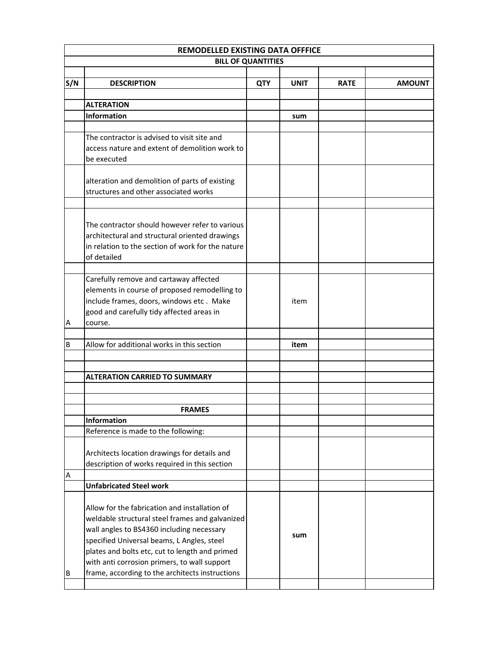| REMODELLED EXISTING DATA OFFFICE |                                                   |            |             |             |               |  |  |
|----------------------------------|---------------------------------------------------|------------|-------------|-------------|---------------|--|--|
|                                  | <b>BILL OF QUANTITIES</b>                         |            |             |             |               |  |  |
|                                  |                                                   |            |             |             |               |  |  |
| S/N                              | <b>DESCRIPTION</b>                                | <b>QTY</b> | <b>UNIT</b> | <b>RATE</b> | <b>AMOUNT</b> |  |  |
|                                  |                                                   |            |             |             |               |  |  |
|                                  | <b>ALTERATION</b><br>Information                  |            |             |             |               |  |  |
|                                  |                                                   |            | sum         |             |               |  |  |
|                                  | The contractor is advised to visit site and       |            |             |             |               |  |  |
|                                  | access nature and extent of demolition work to    |            |             |             |               |  |  |
|                                  | be executed                                       |            |             |             |               |  |  |
|                                  |                                                   |            |             |             |               |  |  |
|                                  | alteration and demolition of parts of existing    |            |             |             |               |  |  |
|                                  | structures and other associated works             |            |             |             |               |  |  |
|                                  |                                                   |            |             |             |               |  |  |
|                                  |                                                   |            |             |             |               |  |  |
|                                  | The contractor should however refer to various    |            |             |             |               |  |  |
|                                  | architectural and structural oriented drawings    |            |             |             |               |  |  |
|                                  | in relation to the section of work for the nature |            |             |             |               |  |  |
|                                  | of detailed                                       |            |             |             |               |  |  |
|                                  |                                                   |            |             |             |               |  |  |
|                                  | Carefully remove and cartaway affected            |            |             |             |               |  |  |
|                                  | elements in course of proposed remodelling to     |            |             |             |               |  |  |
|                                  | include frames, doors, windows etc. Make          |            | item        |             |               |  |  |
|                                  | good and carefully tidy affected areas in         |            |             |             |               |  |  |
| Α                                | course.                                           |            |             |             |               |  |  |
| B                                | Allow for additional works in this section        |            | item        |             |               |  |  |
|                                  |                                                   |            |             |             |               |  |  |
|                                  |                                                   |            |             |             |               |  |  |
|                                  | <b>ALTERATION CARRIED TO SUMMARY</b>              |            |             |             |               |  |  |
|                                  |                                                   |            |             |             |               |  |  |
|                                  |                                                   |            |             |             |               |  |  |
|                                  | <b>FRAMES</b>                                     |            |             |             |               |  |  |
|                                  | <b>Information</b>                                |            |             |             |               |  |  |
|                                  | Reference is made to the following:               |            |             |             |               |  |  |
|                                  |                                                   |            |             |             |               |  |  |
|                                  | Architects location drawings for details and      |            |             |             |               |  |  |
|                                  | description of works required in this section     |            |             |             |               |  |  |
| Α                                | <b>Unfabricated Steel work</b>                    |            |             |             |               |  |  |
|                                  |                                                   |            |             |             |               |  |  |
|                                  | Allow for the fabrication and installation of     |            |             |             |               |  |  |
|                                  | weldable structural steel frames and galvanized   |            |             |             |               |  |  |
|                                  | wall angles to BS4360 including necessary         |            |             |             |               |  |  |
|                                  | specified Universal beams, L Angles, steel        |            | sum         |             |               |  |  |
|                                  | plates and bolts etc, cut to length and primed    |            |             |             |               |  |  |
|                                  | with anti corrosion primers, to wall support      |            |             |             |               |  |  |
| B                                | frame, according to the architects instructions   |            |             |             |               |  |  |
|                                  |                                                   |            |             |             |               |  |  |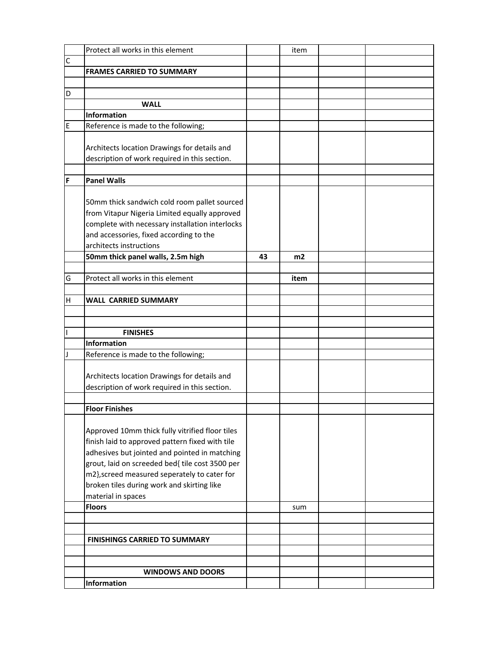|              | Protect all works in this element               |    | item |  |
|--------------|-------------------------------------------------|----|------|--|
| $\mathsf{C}$ |                                                 |    |      |  |
|              | <b>FRAMES CARRIED TO SUMMARY</b>                |    |      |  |
|              |                                                 |    |      |  |
| D            |                                                 |    |      |  |
|              | <b>WALL</b>                                     |    |      |  |
|              | <b>Information</b>                              |    |      |  |
| E            | Reference is made to the following;             |    |      |  |
|              |                                                 |    |      |  |
|              | Architects location Drawings for details and    |    |      |  |
|              | description of work required in this section.   |    |      |  |
|              |                                                 |    |      |  |
| F            | <b>Panel Walls</b>                              |    |      |  |
|              |                                                 |    |      |  |
|              |                                                 |    |      |  |
|              | 50mm thick sandwich cold room pallet sourced    |    |      |  |
|              | from Vitapur Nigeria Limited equally approved   |    |      |  |
|              | complete with necessary installation interlocks |    |      |  |
|              | and accessories, fixed according to the         |    |      |  |
|              | architects instructions                         |    |      |  |
|              | 50mm thick panel walls, 2.5m high               | 43 | m2   |  |
|              |                                                 |    |      |  |
| G            | Protect all works in this element               |    | item |  |
|              |                                                 |    |      |  |
| н            | <b>WALL CARRIED SUMMARY</b>                     |    |      |  |
|              |                                                 |    |      |  |
|              |                                                 |    |      |  |
| I            | <b>FINISHES</b>                                 |    |      |  |
|              | <b>Information</b>                              |    |      |  |
| J            | Reference is made to the following;             |    |      |  |
|              |                                                 |    |      |  |
|              | Architects location Drawings for details and    |    |      |  |
|              | description of work required in this section.   |    |      |  |
|              |                                                 |    |      |  |
|              | <b>Floor Finishes</b>                           |    |      |  |
|              |                                                 |    |      |  |
|              | Approved 10mm thick fully vitrified floor tiles |    |      |  |
|              | finish laid to approved pattern fixed with tile |    |      |  |
|              | adhesives but jointed and pointed in matching   |    |      |  |
|              | grout, laid on screeded bed{ tile cost 3500 per |    |      |  |
|              | m2}, screed measured seperately to cater for    |    |      |  |
|              | broken tiles during work and skirting like      |    |      |  |
|              | material in spaces                              |    |      |  |
|              | <b>Floors</b>                                   |    |      |  |
|              |                                                 |    | sum  |  |
|              |                                                 |    |      |  |
|              |                                                 |    |      |  |
|              | <b>FINISHINGS CARRIED TO SUMMARY</b>            |    |      |  |
|              |                                                 |    |      |  |
|              |                                                 |    |      |  |
|              | <b>WINDOWS AND DOORS</b>                        |    |      |  |
|              | Information                                     |    |      |  |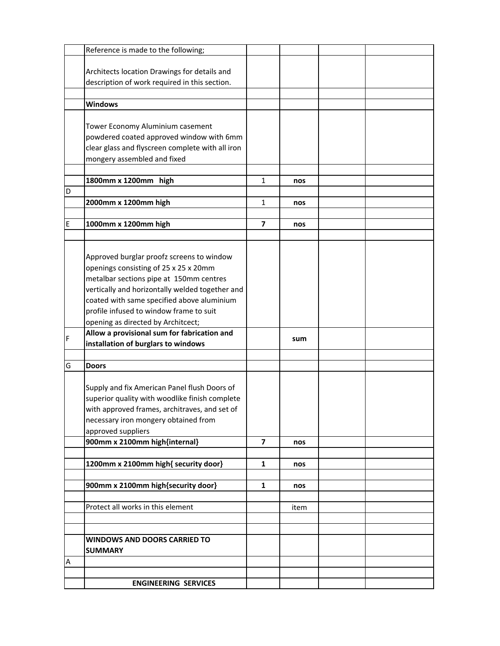|   | Reference is made to the following;              |                         |      |  |
|---|--------------------------------------------------|-------------------------|------|--|
|   |                                                  |                         |      |  |
|   | Architects location Drawings for details and     |                         |      |  |
|   | description of work required in this section.    |                         |      |  |
|   |                                                  |                         |      |  |
|   | <b>Windows</b>                                   |                         |      |  |
|   |                                                  |                         |      |  |
|   | Tower Economy Aluminium casement                 |                         |      |  |
|   |                                                  |                         |      |  |
|   | powdered coated approved window with 6mm         |                         |      |  |
|   | clear glass and flyscreen complete with all iron |                         |      |  |
|   | mongery assembled and fixed                      |                         |      |  |
|   |                                                  |                         |      |  |
|   | 1800mm x 1200mm high                             | $\mathbf{1}$            | nos  |  |
| D |                                                  |                         |      |  |
|   | 2000mm x 1200mm high                             | $\mathbf{1}$            | nos  |  |
|   |                                                  |                         |      |  |
| E | 1000mm x 1200mm high                             | $\overline{\mathbf{z}}$ | nos  |  |
|   |                                                  |                         |      |  |
|   |                                                  |                         |      |  |
|   | Approved burglar proofz screens to window        |                         |      |  |
|   | openings consisting of 25 x 25 x 20mm            |                         |      |  |
|   | metalbar sections pipe at 150mm centres          |                         |      |  |
|   | vertically and horizontally welded together and  |                         |      |  |
|   |                                                  |                         |      |  |
|   | coated with same specified above aluminium       |                         |      |  |
|   | profile infused to window frame to suit          |                         |      |  |
|   | opening as directed by Architcect;               |                         |      |  |
| F | Allow a provisional sum for fabrication and      |                         | sum  |  |
|   | installation of burglars to windows              |                         |      |  |
|   |                                                  |                         |      |  |
| G | <b>Doors</b>                                     |                         |      |  |
|   |                                                  |                         |      |  |
|   | Supply and fix American Panel flush Doors of     |                         |      |  |
|   | superior quality with woodlike finish complete   |                         |      |  |
|   | with approved frames, architraves, and set of    |                         |      |  |
|   | necessary iron mongery obtained from             |                         |      |  |
|   | approved suppliers                               |                         |      |  |
|   | 900mm x 2100mm high{internal}                    | $\overline{\mathbf{z}}$ | nos  |  |
|   |                                                  |                         |      |  |
|   | 1200mm x 2100mm high{ security door}             | 1                       | nos  |  |
|   |                                                  |                         |      |  |
|   | 900mm x 2100mm high{security door}               | $\mathbf{1}$            | nos  |  |
|   |                                                  |                         |      |  |
|   | Protect all works in this element                |                         | item |  |
|   |                                                  |                         |      |  |
|   |                                                  |                         |      |  |
|   |                                                  |                         |      |  |
|   | <b>WINDOWS AND DOORS CARRIED TO</b>              |                         |      |  |
|   | <b>SUMMARY</b>                                   |                         |      |  |
| Α |                                                  |                         |      |  |
|   |                                                  |                         |      |  |
|   | <b>ENGINEERING SERVICES</b>                      |                         |      |  |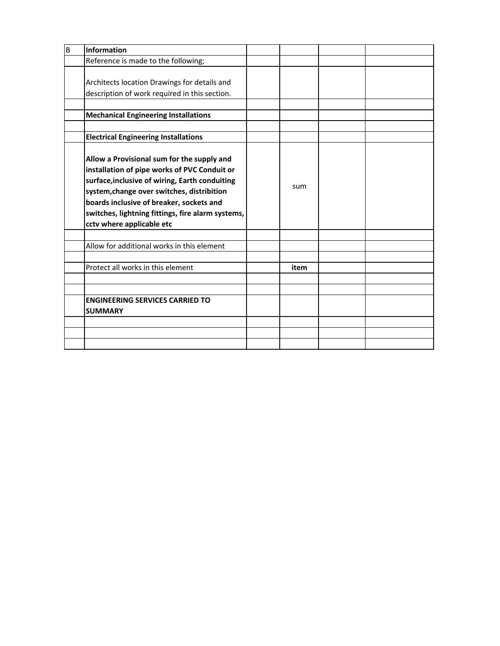| B | <b>Information</b>                                                                                                                                                                                                                                                                                                       |      |  |
|---|--------------------------------------------------------------------------------------------------------------------------------------------------------------------------------------------------------------------------------------------------------------------------------------------------------------------------|------|--|
|   | Reference is made to the following;                                                                                                                                                                                                                                                                                      |      |  |
|   | Architects location Drawings for details and<br>description of work required in this section.                                                                                                                                                                                                                            |      |  |
|   | <b>Mechanical Engineering Installations</b>                                                                                                                                                                                                                                                                              |      |  |
|   |                                                                                                                                                                                                                                                                                                                          |      |  |
|   | <b>Electrical Engineering Installations</b>                                                                                                                                                                                                                                                                              |      |  |
|   | Allow a Provisional sum for the supply and<br>installation of pipe works of PVC Conduit or<br>surface, inclusive of wiring, Earth conduiting<br>system, change over switches, distribition<br>boards inclusive of breaker, sockets and<br>switches, lightning fittings, fire alarm systems,<br>cctv where applicable etc | sum  |  |
|   | Allow for additional works in this element                                                                                                                                                                                                                                                                               |      |  |
|   |                                                                                                                                                                                                                                                                                                                          |      |  |
|   | Protect all works in this element                                                                                                                                                                                                                                                                                        | item |  |
|   |                                                                                                                                                                                                                                                                                                                          |      |  |
|   |                                                                                                                                                                                                                                                                                                                          |      |  |
|   | <b>ENGINEERING SERVICES CARRIED TO</b><br><b>SUMMARY</b>                                                                                                                                                                                                                                                                 |      |  |
|   |                                                                                                                                                                                                                                                                                                                          |      |  |
|   |                                                                                                                                                                                                                                                                                                                          |      |  |
|   |                                                                                                                                                                                                                                                                                                                          |      |  |